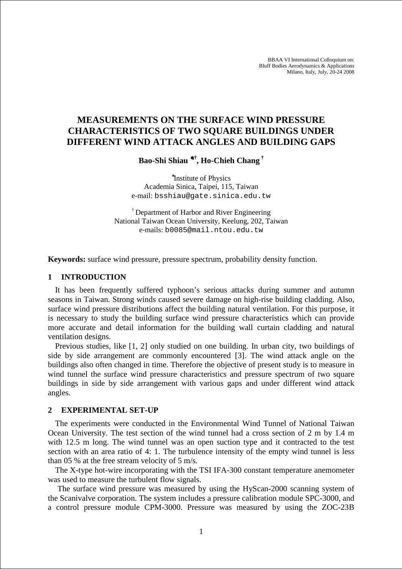BBAA VI International Colloquium on: Bluff Bodies Aerodynamics & Applications Milano, Italy, July, 20-24 2008

# **MEASUREMENTS ON THE SURFACE WIND PRESSURE CHARACTERISTICS OF TWO SQUARE BUILDINGS UNDER DIFFERENT WIND ATTACK ANGLES AND BUILDING GAPS**

**Bao-Shi Shiau** <sup>∗</sup>**,†, Ho-Chieh Chang †**

∗ Institute of Physics Academia Sinica, Taipei, 115, Taiwan e-mail: bsshiau@gate.sinica.edu.tw

† Department of Harbor and River Engineering National Taiwan Ocean University, Keelung, 202, Taiwan e-mails: b0085@mail.ntou.edu.tw

**Keywords:** surface wind pressure, pressure spectrum, probability density function.

#### **1 INTRODUCTION**

It has been frequently suffered typhoon's serious attacks during summer and autumn seasons in Taiwan. Strong winds caused severe damage on high-rise building cladding. Also, surface wind pressure distributions affect the building natural ventilation. For this purpose, it is necessary to study the building surface wind pressure characteristics which can provide more accurate and detail information for the building wall curtain cladding and natural ventilation designs.

Previous studies, like [1, 2] only studied on one building. In urban city, two buildings of side by side arrangement are commonly encountered [3]. The wind attack angle on the buildings also often changed in time. Therefore the objective of present study is to measure in wind tunnel the surface wind pressure characteristics and pressure spectrum of two square buildings in side by side arrangement with various gaps and under different wind attack angles.

#### **2 EXPERIMENTAL SET-UP**

The experiments were conducted in the Environmental Wind Tunnel of National Taiwan Ocean University. The test section of the wind tunnel had a cross section of 2 m by 1.4 m with 12.5 m long. The wind tunnel was an open suction type and it contracted to the test section with an area ratio of 4: 1. The turbulence intensity of the empty wind tunnel is less than 05 % at the free stream velocity of 5 m/s.

The X-type hot-wire incorporating with the TSI IFA-300 constant temperature anemometer was used to measure the turbulent flow signals.

The surface wind pressure was measured by using the HyScan-2000 scanning system of the Scanivalve corporation. The system includes a pressure calibration module SPC-3000, and a control pressure module CPM-3000. Pressure was measured by using the ZOC-23B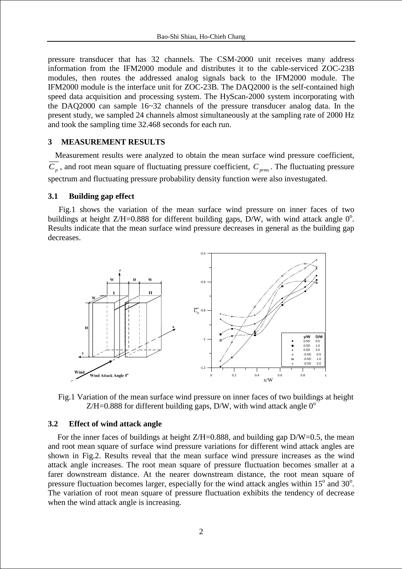pressure transducer that has 32 channels. The CSM-2000 unit receives many address information from the IFM2000 module and distributes it to the cable-serviced ZOC-23B modules, then routes the addressed analog signals back to the IFM2000 module. The IFM2000 module is the interface unit for ZOC-23B. The DAQ2000 is the self-contained high speed data acquisition and processing system. The HyScan-2000 system incorporating with the DAQ2000 can sample 16~32 channels of the pressure transducer analog data. In the present study, we sampled 24 channels almost simultaneously at the sampling rate of 2000 Hz and took the sampling time 32.468 seconds for each run.

## **3 MEASUREMENT RESULTS**

Measurement results were analyzed to obtain the mean surface wind pressure coefficient,  $C_p$ , and root mean square of fluctuating pressure coefficient,  $C_{prms}$ . The fluctuating pressure spectrum and fluctuating pressure probability density function were also investugated.

### **3.1 Building gap effect**

Fig.1 shows the variation of the mean surface wind pressure on inner faces of two buildings at height Z/H=0.888 for different building gaps,  $\bar{D}/W$ , with wind attack angle 0<sup>o</sup>. Results indicate that the mean surface wind pressure decreases in general as the building gap decreases.



Fig.1 Variation of the mean surface wind pressure on inner faces of two buildings at height  $Z/H=0.888$  for different building gaps, D/W, with wind attack angle  $0^{\circ}$ 

#### **3.2 Effect of wind attack angle**

For the inner faces of buildings at height  $Z/H=0.888$ , and building gap  $D/W=0.5$ , the mean and root mean square of surface wind pressure variations for different wind attack angles are shown in Fig.2. Results reveal that the mean surface wind pressure increases as the wind attack angle increases. The root mean square of pressure fluctuation becomes smaller at a farer downstream distance. At the nearer downstream distance, the root mean square of pressure fluctuation becomes larger, especially for the wind attack angles within  $15^{\circ}$  and  $30^{\circ}$ . The variation of root mean square of pressure fluctuation exhibits the tendency of decrease when the wind attack angle is increasing.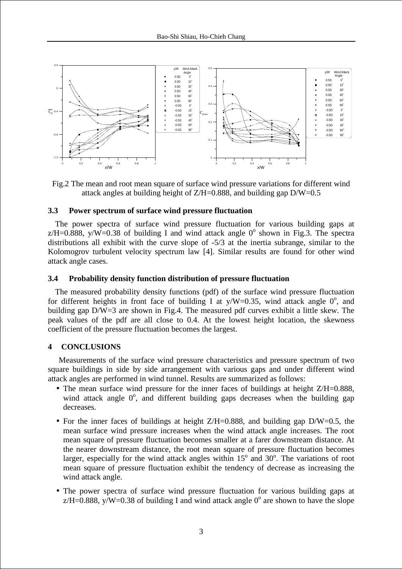

Fig.2 The mean and root mean square of surface wind pressure variations for different wind attack angles at building height of Z/H=0.888, and building gap D/W=0.5

## **3.3 Power spectrum of surface wind pressure fluctuation**

The power spectra of surface wind pressure fluctuation for various building gaps at  $z/H = 0.888$ , y/W=0.38 of building I and wind attack angle 0<sup>o</sup> shown in Fig.3. The spectra distributions all exhibit with the curve slope of -5/3 at the inertia subrange, similar to the Kolomogrov turbulent velocity spectrum law [4]. Similar results are found for other wind attack angle cases.

## **3.4 Probability density function distribution of pressure fluctuation**

The measured probability density functions (pdf) of the surface wind pressure fluctuation for different heights in front face of building I at  $y/W=0.35$ , wind attack angle  $0^{\circ}$ , and building gap D/W=3 are shown in Fig.4. The measured pdf curves exhibit a little skew. The peak values of the pdf are all close to 0.4. At the lowest height location, the skewness coefficient of the pressure fluctuation becomes the largest.

## **4 CONCLUSIONS**

Measurements of the surface wind pressure characteristics and pressure spectrum of two square buildings in side by side arrangement with various gaps and under different wind attack angles are performed in wind tunnel. Results are summarized as follows:

- The mean surface wind pressure for the inner faces of buildings at height  $Z/H=0.888$ . wind attack angle  $0^\circ$ , and different building gaps decreases when the building gap decreases.
- For the inner faces of buildings at height Z/H=0.888, and building gap D/W=0.5, the mean surface wind pressure increases when the wind attack angle increases. The root mean square of pressure fluctuation becomes smaller at a farer downstream distance. At the nearer downstream distance, the root mean square of pressure fluctuation becomes larger, especially for the wind attack angles within  $15^{\circ}$  and  $30^{\circ}$ . The variations of root mean square of pressure fluctuation exhibit the tendency of decrease as increasing the wind attack angle.
- The power spectra of surface wind pressure fluctuation for various building gaps at  $z/H = 0.888$ , y/W=0.38 of building I and wind attack angle  $0^{\circ}$  are shown to have the slope